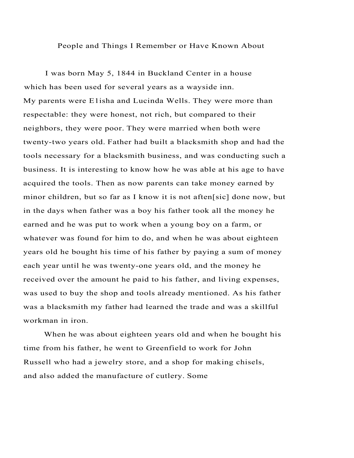## People and Things I Remember or Have Known About

I was born May 5, 1844 in Buckland Center in a house which has been used for several years as a wayside inn. My parents were E1isha and Lucinda Wells. They were more than respectable: they were honest, not rich, but compared to their neighbors, they were poor. They were married when both were twenty-two years old. Father had built a blacksmith shop and had the tools necessary for a blacksmith business, and was conducting such a business. It is interesting to know how he was able at his age to have acquired the tools. Then as now parents can take money earned by minor children, but so far as I know it is not aften[sic] done now, but in the days when father was a boy his father took all the money he earned and he was put to work when a young boy on a farm, or whatever was found for him to do, and when he was about eighteen years old he bought his time of his father by paying a sum of money each year until he was twenty-one years old, and the money he received over the amount he paid to his father, and living expenses, was used to buy the shop and tools already mentioned. As his father was a blacksmith my father had learned the trade and was a skillful workman in iron.

When he was about eighteen years old and when he bought his time from his father, he went to Greenfield to work for John Russell who had a jewelry store, and a shop for making chisels, and also added the manufacture of cutlery. Some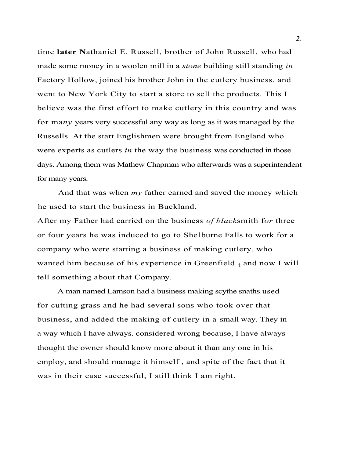time **later N**athaniel E. Russell, brother of John Russell, who had made some money in a woolen mill in a *stone* building still standing *in*  Factory Hollow, joined his brother John in the cutlery business, and went to New York City to start a store to sell the products. This I believe was the first effort to make cutlery in this country and was for ma*ny* years very successful any way as long as it was managed by the Russells. At the start Englishmen were brought from England who were experts as cutlers *in* the way the business was conducted in those days. Among them was Mathew Chapman who afterwards was a superintendent for many years.

And that was when *my* father earned and saved the money which he used to start the business in Buckland.

After my Father had carried on the business *of black*smith f*or* three or four years he was induced to go to Shelburne Falls to work for a company who were starting a business of making cutlery, who wanted him because of his experience in Greenfield t and now I will tell something about that Company.

A man named Lamson had a business making scythe snaths used for cutting grass and he had several sons who took over that business, and added the making of cutlery in a small way. They in a way which I have always. considered wrong because, I have always thought the owner should know more about it than any one in his employ, and should manage it himself , and spite of the fact that it was in their case successful, I still think I am right.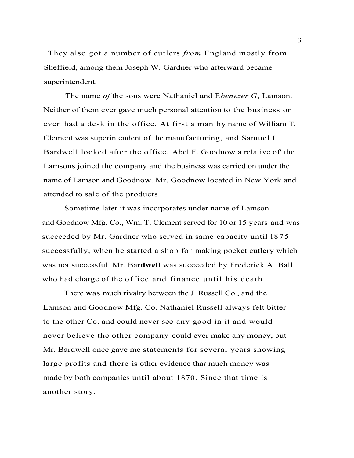They also got a number of cutlers *from* England mostly from Sheffield, among them Joseph W. Gardner who afterward became superintendent.

The name *of* the sons were Nathaniel and E*benezer G*, Lamson. Neither of them ever gave much personal attention to the business or even had a desk in the office. At first a man by name of William T. Clement was superintendent of the manufacturing, and Samuel L. Bardwell looked after the office. Abel F. Goodnow a relative of' the Lamsons joined the company and the business was carried on under the name of Lamson and Goodnow. Mr. Goodnow located in New York and attended to sale of the products.

Sometime later it was incorporates under name of Lamson and Goodnow Mfg. Co., Wm. T. Clement served for 10 or 15 years and was succeeded by Mr. Gardner who served in same capacity until 1875 successfully, when he started a shop for making pocket cutlery which was not successful. Mr. Bar**dwell** was succeeded by Frederick A. Ball who had charge of the office and finance until his death.

There was much rivalry between the J. Russell Co., and the Lamson and Goodnow Mfg. Co. Nathaniel Russell always felt bitter to the other Co. and could never see any good in it and would never believe the other company could ever make any money, but Mr. Bardwell once gave me statements for several years showing large profits and there is other evidence tha*t* much money was made by both companies until about 1870. Since that time is another story.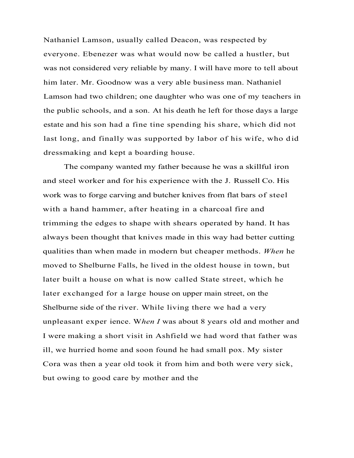Nathaniel Lamson, usually called Deacon, was respected by everyone. Ebenezer was what would now be called a hustler, but was not considered very reliable by many. I will have more to tell about him later. Mr. Goodnow was a very able business man. Nathaniel Lamson had two children; one daughter who was one of my teachers in the public schools, and a son. At his death he left for those days a large estate and his son had a fine tine spending his share, which did not last long, and finally was supported by labor of his wife, who did dressmaking and kept a boarding house.

The company wanted my father because he was a skillful iron and steel worker and for his experience with the J. Russell Co. His work was to forge carving and butcher knives from flat bars of steel with a hand hammer, after heating in a charcoal fire and trimming the edges to shape with shears operated by hand. It has always been thought that knives made in this way had better cutting qualities than when made in modern but cheaper methods. *When* he moved to Shelburne Falls, he lived in the oldest house in town, but later built a house on what is now called State street, which he later exchanged for a large house on upper main street, on the Shelburne side of the river. While living there we had a very unpleasant exper ience. W*hen I* was about 8 years old and mother and I were making a short visit in Ashfield we had word that father was ill, we hurried home and soon found he had small pox. My sister Cora was then a year old took it from him and both were very sick, but owing to good care by mother and the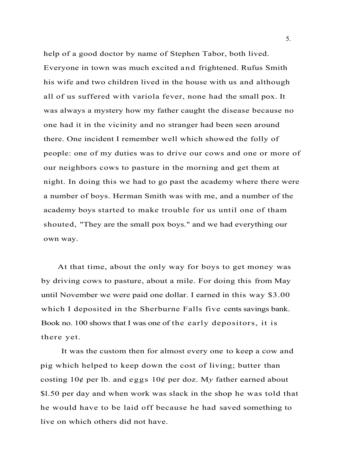help of a good doctor by name of Stephen Tabor, both lived. Everyone in town was much excited and frightened. Rufus Smith his wife and two children lived in the house with us and although all of us suffered with variola fever, none had the small pox. It was always a mystery how my father caught the disease because no one had it in the vicinity and no stranger had been seen around there. One incident I remember well which showed the folly of people: one of my duties was to drive our cows and one or more of our neighbors cows to pasture in the morning and get them at night. In doing this we had to go past the academy where there were a number of boys. Herman Smith was with me, and a number of the academy boys started to make trouble for us until one of tham shouted, "They are the small pox boys." and we had everything our own way.

At that time, about the only way for boys to get money was by driving cows to pasture, about a mile. For doing this from May until November we were paid one dollar. I earned in this way \$3.00 which I deposited in the Sherburne Falls five cents savings bank. Book no. 100 shows that I was one of the early depositors, it is there yet.

It was the custom then for almost every one to keep a cow and pig which helped to keep down the cost of living; butter than costing 10¢ per lb. and eggs 10¢ per doz. M*y* father earned about \$l.50 per day and when work was slack in the shop he was told that he would have to be laid off because he had saved something to live on which others did not have.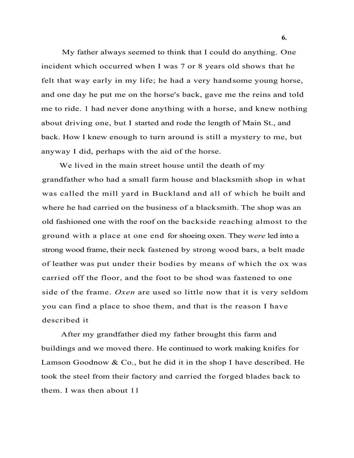My father always seemed to think that I could do anything. One incident which occurred when I was 7 or 8 years old shows that he felt that way early in my life; he had a very handsome young horse, and one day he put me on the horse's back, gave me the reins and told me to ride. 1 had never done anything with a horse, and knew nothing about driving one, but I started and rode the length of Main St., and back. How I knew enough to turn around is still a mystery to me, but anyway I did, perhaps with the aid of the horse.

We lived in the main street house until the death of my grandfather who had a small farm house and blacksmith shop in what was called the mill yard in Buckland and all of which he built and where he had carried on the business of a blacksmith. The shop was an old fashioned one with the roof on the backside reaching almost to the ground with a place at one end for shoeing oxen. They w*ere* led into a strong wood frame, their neck fastened by strong wood bars, a belt made of leather was put under their bodies by means of which the ox was carried off the floor, and the foot to be shod was fastened to one side of the frame. *Oxen* are used so little now that it is very seldom you can find a place to shoe them, and that is the reason I have described it

After my grandfather died my father brought this farm and buildings and we moved there. He continued to work making knifes for Lamson Goodnow  $& Co.,$  but he did it in the shop I have described. He took the steel from their factory and carried the forged blades back to them. I was then about 11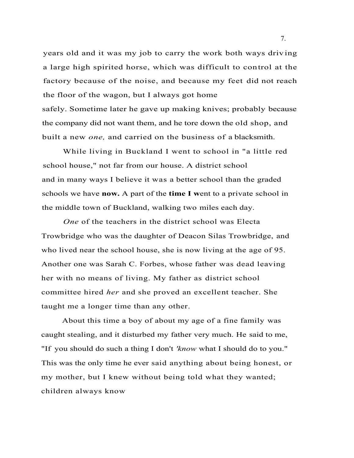years old and it was my job to carry the work both ways driv ing a large high spirited horse, which was difficult to control at the factory because of the noise, and because my feet did not reach the floor of the wagon, but I always got home safely. Sometime later he gave up making knives; probably because the company did not want them, and he tore down the old shop, and built a new *one,* and carried on the business of a blacksmith.

While living in Buckland I went to school in "a little red school house," not far from our house. A district school and in many ways I believe it was a better school than the graded schools we have **now.** A part of the **time I w**ent to a private school in the middle town of Buckland, walking two miles each day.

*One* of the teachers in the district school was Electa Trowbridge who was the daughter of Deacon Silas Trowbridge, and who lived near the school house, she is now living at the age of 95. Another one was Sarah C. Forbes, whose father was dead leaving her with no means of living. My father as district school committee hired *her* and she proved an excellent teacher. She taught me a longer time than any other.

About this time a boy of about my age of a fine family was caught stealing, and it disturbed my father very much. He said to me, "If you should do such a thing I don't *'know* what I should do to you." This was the only time he ever said anything about being honest, or my mother, but I knew without being told what they wanted; children always know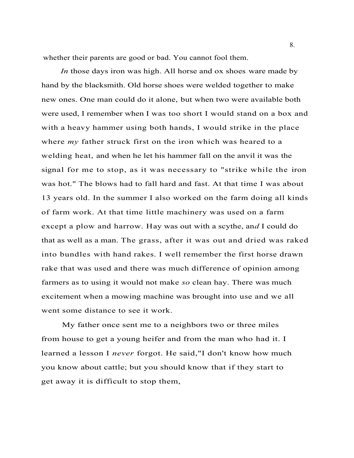whether their parents are good or bad. You cannot fool them.

*In* those days iron was high. All horse and ox shoes ware made by hand by the blacksmith. Old horse shoes were welded together to make new ones. One man could do it alone, but when two were available both were used, I remember when I was too short I would stand on a box and with a heavy hammer using both hands, I would strike in the place where *my* father struck first on the iron which was heared to a welding heat, and when he let his hammer fall on the anvil it was the signal for me to stop, as it was necessary to "strike while the iron was hot." The blows had to fall hard and fast. At that time I was about 13 years old. In the summer I also worked on the farm doing all kinds of farm work. At that time little machinery was used on a farm except a plow and harrow. Hay was out with a scythe, an*d* I could do that as well as a man. The grass, after it was out and dried was raked into bundles with hand rakes. I well remember the first horse drawn rake that was used and there was much difference of opinion among farmers as to using it would not make *so* clean hay. There was much excitement when a mowing machine was brought into use and we all went some distance to see it work.

My father once sent me to a neighbors two or three miles from house to get a young heifer and from the man who had it. I learned a lesson I *never* forgot. He said,"I don't know how much you know about cattle; but you should know that if they start to get away it is difficult to stop them,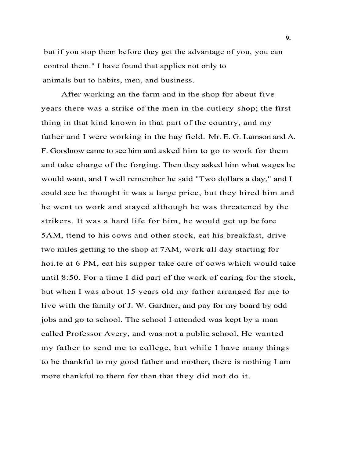but if you stop them before they get the advantage of you, you can control them." I have found that applies not only to animals but to habits, men, and business.

After working an the farm and in the shop for about five years there was a strike of the men in the cutlery shop; the first thing in that kind known in that part of the country, and my father and I were working in the hay field. Mr. E. G. Lamson and A. F. Goodnow came to see him and asked him to go to work for them and take charge of the forging. Then they asked him what wages he would want, and I well remember he said "Two dollars a day," and I could see he thought it was a large price, but they hired him and he went to work and stayed although he was threatened by the strikers. It was a hard life for him, he would get up before 5AM, ttend to his cows and other stock, eat his breakfast, drive two miles getting to the shop at 7AM, work all day starting for hoi.te at 6 PM, eat his supper take care of cows which would take until 8:50. For a time I did part of the work of caring for the stock, but when I was about 15 years old my father arranged for me to live with the family of J. W. Gardner, and pay for my board by odd jobs and go to school. The school I attended was kept by a man called Professor Avery, and was not a public school. He wanted my father to send me to college, but while I have many things to be thankful to my good father and mother, there is nothing I am more thankful to them for than that they did not do it.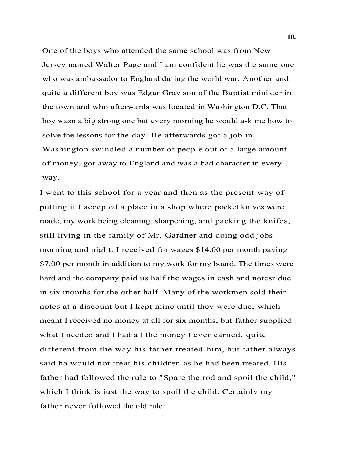One of the boys who attended the same school was from New Jersey named Walter Page and I am confident he was the same one who was ambassador to England during the world war. Another and quite a different boy was Edgar Gray son of the Baptist minister in the town and who afterwards was located in Washington D.C. That boy wasn a big strong one but every morning he would ask me how to solve the lessons for the day. He afterwards got a job in Washington swindled a number of people out of a large amount of money, got away to England and was a bad character in every way.

I went to this school for a year and then as the present way of putting it I accepted a place in a shop where pocket knives were made, my work being cleaning, sharpening, and packing the knifes, still living in the family of Mr. Gardner and doing odd jobs morning and night. I received for wages \$14.00 per month paying \$7.00 per month in addition to my work for my board. The times were hard and the company paid us half the wages in cash and notesr due in six months for the other half. Many of the workmen sold their notes at a discount but I kept mine until they were due, which meant I received no money at all for six months, but father supplied what I needed and I had all the money I ever earned, quite different from the way his father treated him, but father always said ha would not treat his children as he had been treated. His father had followed the rule to "Spare the rod and spoil the child," which I think is just the way to spoil the child. Certainly my father never followed the old rule.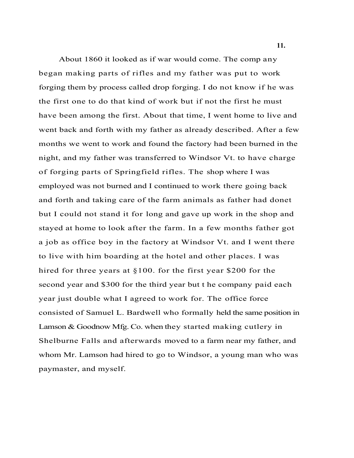About 1860 it looked as if war would come. The comp any began making parts of rifles and my father was put to work forging them by process called drop forging. I do not know if he was the first one to do that kind of work but if not the first he must have been among the first. About that time, I went home to live and went back and forth with my father as already described. After a few months we went to work and found the factory had been burned in the night, and my father was transferred to Windsor Vt. to have charge of forging parts of Springfield rifles. The shop where I was employed was not burned and I continued to work there going back and forth and taking care of the farm animals as father had donet but I could not stand it for long and gave up work in the shop and stayed at home to look after the farm. In a few months father got a job as office boy in the factory at Windsor Vt. and I went there to live with him boarding at the hotel and other places. I was hired for three years at §100. for the first year \$200 for the second year and \$300 for the third year but t he company paid each year just double what I agreed to work for. The office force consisted of Samuel L. Bardwell who formally held the same position in Lamson & Goodnow Mfg. Co. when they started making cutlery in Shelburne Falls and afterwards moved to a farm near my father, and whom Mr. Lamson had hired to go to Windsor, a young man who was paymaster, and myself.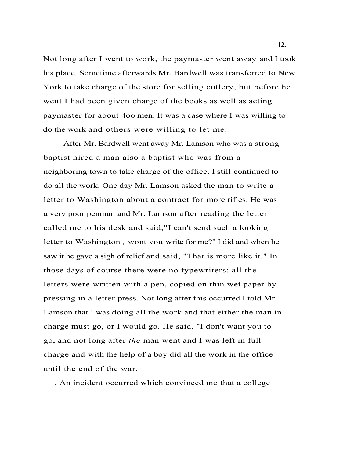Not long after I went to work, the paymaster went away and I took his place. Sometime afterwards Mr. Bardwell was transferred to New York to take charge of the store for selling cutlery, but before he went I had been given charge of the books as well as acting paymaster for about 4oo men. It was a case where I was willing to do the work and others were willing to let me.

After Mr. Bardwell went away Mr. Lamson who was a strong baptist hired a man also a baptist who was from a neighboring town to take charge of the office. I still continued to do all the work. One day Mr. Lamson asked the man to write a letter to Washington about a contract for more rifles. He was a very poor penman and Mr. Lamson after reading the letter called me to his desk and said,"I can't send such a looking letter to Washington *,* wont you write for me?" I did and when he saw it he gave a sigh of relief and said, "That is more like it." In those days of course there were no typewriters; all the letters were written with a pen, copied on thin wet paper by pressing in a letter press. Not long after this occurred I told Mr. Lamson that I was doing all the work and that either the man in charge must go, or I would go. He said, "I don't want you to go, and not long after *the* man went and I was left in full charge and with the help of a boy did all the work in the office until the end of the war.

. An incident occurred which convinced me that a college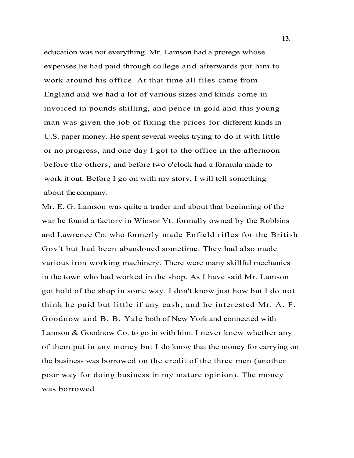education was not everything. Mr. Lamson had a protege whose expenses he had paid through college and afterwards put him to work around his office. At that time all files came from England and we had a lot of various sizes and kinds come in invoiced in pounds shilling, and pence in gold and this young man was given the job of fixing the prices for different kinds in U.S. paper money. He spent several weeks trying to do it with little or no progress, and one day I got to the office in the afternoon before the others, and before two o'clock had a formula made to work it out. Before I go on with my story, I will tell something about the company.

Mr. E. G. Lamson was quite a trader and about that beginning of the war he found a factory in Winsor Vt. formally owned by the Robbins and Lawrence Co. who formerly made Enfield rifles for the British Gov't but had been abandoned sometime. They had also made various iron working machinery. There were many skillful mechanics in the town who had worked in the shop. As I have said Mr. Lamson got hold of the shop in some way. I don't know just how but I do not think he paid but little if any cash, and he interested Mr. A. F. Goodnow and B. B. Yale both of New York and connected with Lamson & Goodnow Co. to go in with him. I never knew whether any of them put in any money but I do know that the money for carrying on the business was borrowed on the credit of the three men (another poor way for doing business in my mature opinion). The money was borrowed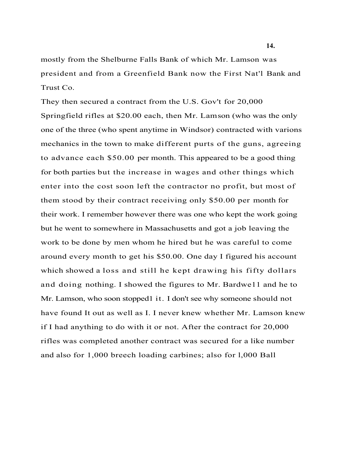mostly from the Shelburne Falls Bank of which Mr. Lamson was president and from a Greenfield Bank now the First Nat'l Bank and Trust Co.

They then secured a contract from the U.S. Gov't for 20,000 Springfield rifles at \$20.00 each, then Mr. Lamson (who was the only one of the three (who spent anytime in Windsor) contracted with varions mechanics in the town to make different purts of the guns, agreeing to advance each \$50.00 per month. This appeared to be a good thing for both parties but the increase in wages and other things which enter into the cost soon left the contractor no profit, but most of them stood by their contract receiving only \$50.00 per month for their work. I remember however there was one who kept the work going but he went to somewhere in Massachusetts and got a job leaving the work to be done by men whom he hired but he was careful to come around every month to get his \$50.00. One day I figured his account which showed a loss and still he kept drawing his fifty dollars and doing nothing. I showed the figures to Mr. Bardwe11 and he to Mr. Lamson, who soon stopped1 it. I don't see why someone should not have found It out as well as I. I never knew whether Mr. Lamson knew if I had anything to do with it or not. After the contract for 20,000 rifles was completed another contract was secured for a like number and also for 1,000 breech loading carbines; also for l,000 Ball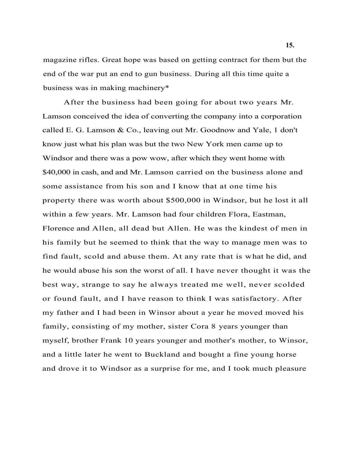magazine rifles. Great hope was based on getting contract for them but the end of the war put an end to gun business. During all this time quite a business was in making machinery\*

After the business had been going for about two years Mr. Lamson conceived the idea of converting the company into a corporation called E. G. Lamson & Co., leaving out Mr. Goodnow and Yale, 1 don't know just what his plan was but the two New York men came up to Windsor and there was a pow wow, after which they went home with \$40,000 in cash, and and Mr. Lamson carried on the business alone and some assistance from his son and I know that at one time his property there was worth about \$500,000 in Windsor, but he lost it all within a few years. Mr. Lamson had four children Flora, Eastman, Florence and Allen, all dead but Allen. He was the kindest of men in his family but he seemed to think that the way to manage men was to find fault, scold and abuse them. At any rate that is what he did, and he would abuse his son the worst of all. I have never thought it was the best way, strange to say he always treated me well, never scolded or found fault, and I have reason to think I was satisfactory. After my father and I had been in Winsor about a year he moved moved his family, consisting of my mother, sister Cora 8 years younger than myself, brother Frank 10 years younger and mother's mother, to Winsor, and a little later he went to Buckland and bought a fine young horse and drove it to Windsor as a surprise for me, and I took much pleasure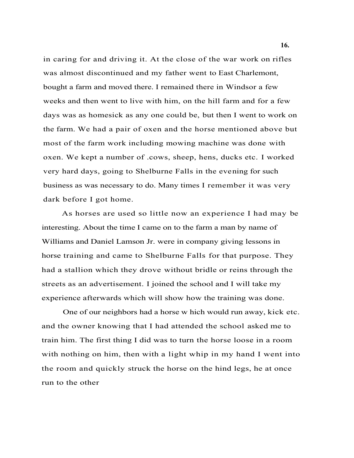in caring for and driving it. At the close of the war work on rifles was almost discontinued and my father went to East Charlemont, bought a farm and moved there. I remained there in Windsor a few weeks and then went to live with him, on the hill farm and for a few days was as homesick as any one could be, but then I went to work on the farm. We had a pair of oxen and the horse mentioned above but most of the farm work including mowing machine was done with oxen. We kept a number of .cows, sheep, hens, ducks etc. I worked very hard days, going to Shelburne Falls in the evening for such business as was necessary to do. Many times I remember it was very dark before I got home.

As horses are used so little now an experience I had may be interesting. About the time I came on to the farm a man by name of Williams and Daniel Lamson Jr. were in company giving lessons in horse training and came to Shelburne Falls for that purpose. They had a stallion which they drove without bridle or reins through the streets as an advertisement. I joined the school and I will take my experience afterwards which will show how the training was done.

One of our neighbors had a horse w hich would run away, kick etc. and the owner knowing that I had attended the school asked me to train him. The first thing I did was to turn the horse loose in a room with nothing on him, then with a light whip in my hand I went into the room and quickly struck the horse on the hind legs, he at once run to the other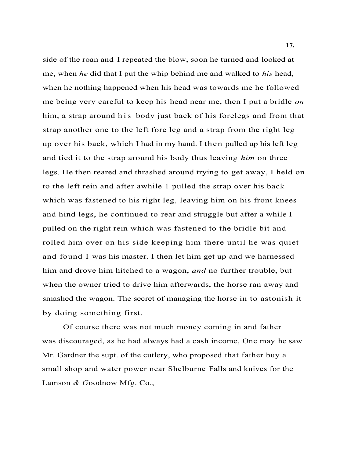side of the roan and I repeated the blow, soon he turned and looked at me, when *he* did that I put the whip behind me and walked to *his* head, when he nothing happened when his head was towards me he followed me being very careful to keep his head near me, then I put a bridle *on* him, a strap around his body just back of his forelegs and from that strap another one to the left fore leg and a strap from the right leg up over his back, which I had in my hand. I then pulled up his left leg and tied it to the strap around his body thus leaving *him* on three legs. He then reared and thrashed around trying to get away, I held on to the left rein and after awhile 1 pulled the strap over his back which was fastened to his right leg, leaving him on his front knees and hind legs, he continued to rear and struggle but after a while I pulled on the right rein which was fastened to the bridle bit and rolled him over on his side keeping him there until he was quiet and found I was his master. I then let him get up and we harnessed him and drove him hitched to a wagon, *and* no further trouble, but when the owner tried to drive him afterwards, the horse ran away and smashed the wagon. The secret of managing the horse in to astonish it by doing something first.

Of course there was not much money coming in and father was discouraged, as he had always had a cash income, One may he saw Mr. Gardner the supt. of the cutlery, who proposed that father buy a small shop and water power near Shelburne Falls and knives for the Lamson *& G*oodnow Mfg. Co.,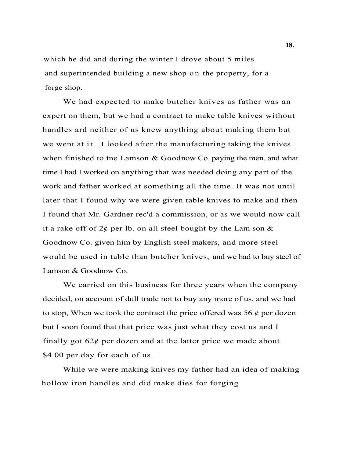which he did and during the winter I drove about 5 miles and superintended building a new shop on the property, for a forge shop.

We had expected to make butcher knives as father was an expert on them, but we had a contract to make table knives without handles ard neither of us knew anything about making them but we went at it. I looked after the manufacturing taking the knives when finished to tne Lamson & Goodnow Co. paying the men, and what time I had I worked on anything that was needed doing any part of the work and father worked at something all the time. It was not until later that I found why we were given table knives to make and then I found that Mr. Gardner rec'd a commission, or as we would now call it a rake off of  $2\phi$  per lb. on all steel bought by the Lam son  $\&$ Goodnow Co. given him by English steel makers, and more steel would be used in table than butcher knives, and we had to buy steel of Lamson & Goodnow Co.

We carried on this business for three years when the company decided, on account of dull trade not to buy any more of us, and we had to stop, When we took the contract the price offered was 56  $\phi$  per dozen but I soon found that that price was just what they cost us and I finally got  $62¢$  per dozen and at the latter price we made about \$4.00 per day for each of us.

While we were making knives my father had an idea of making hollow iron handles and did make dies for forging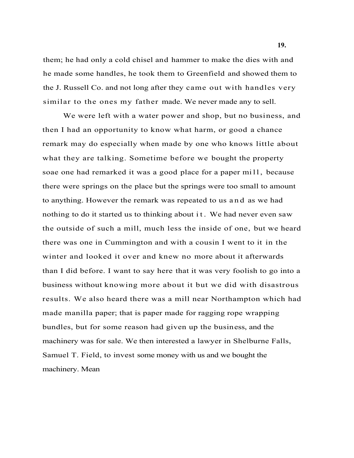them; he had only a cold chisel and hammer to make the dies with and he made some handles, he took them to Greenfield and showed them to the J. Russell Co. and not long after they came out with handles very similar to the ones my father made. We never made any to sell.

We were left with a water power and shop, but no business, and then I had an opportunity to know what harm, or good a chance remark may do especially when made by one who knows little about what they are talking. Sometime before we bought the property soae one had remarked it was a good place for a paper mill, because there were springs on the place but the springs were too small to amount to anything. However the remark was repeated to us a n d as we had nothing to do it started us to thinking about it. We had never even saw the outside of such a mill, much less the inside of one, but we heard there was one in Cummington and with a cousin I went to it in the winter and looked it over and knew no more about it afterwards than I did before. I want to say here that it was very foolish to go into a business without knowing more about it but we did with disastrous results. We also heard there was a mill near Northampton which had made manilla paper; that is paper made for ragging rope wrapping bundles, but for some reason had given up the business, and the machinery was for sale. We then interested a lawyer in Shelburne Falls, Samuel T. Field, to invest some money with us and we bought the machinery. Mean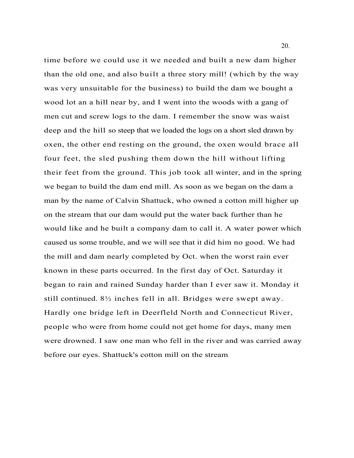time before we could use it we needed and built a new dam higher than the old one, and also built a three story mill! (which by the way was very unsuitable for the business) to build the dam we bought a wood lot an a hill near by, and I went into the woods with a gang of men cut and screw logs to the dam. I remember the snow was waist deep and the hill so steep that we loaded the logs on a short sled drawn by oxen, the other end resting on the ground, the oxen would brace all four feet, the sled pushing them down the hill without lifting their feet from the ground. This job took all winter, and in the spring we began to build the dam end mill. As soon as we began on the dam a man by the name of Calvin Shattuck, who owned a cotton mill higher up on the stream that our dam would put the water back further than he would like and he built a company dam to call it. A water power which caused us some trouble, and we will see that it did him no good. We had the mill and dam nearly completed by Oct. when the worst rain ever known in these parts occurred. In the first day of Oct. Saturday it began to rain and rained Sunday harder than I ever saw it. Monday it still continued. 8½ inches fell in all. Bridges were swept away. Hardly one bridge left in Deerfleld North and Connecticut River, people who were from home could not get home for days, many men were drowned. I saw one man who fell in the river and was carried away before our eyes. Shattuck's cotton mill on the stream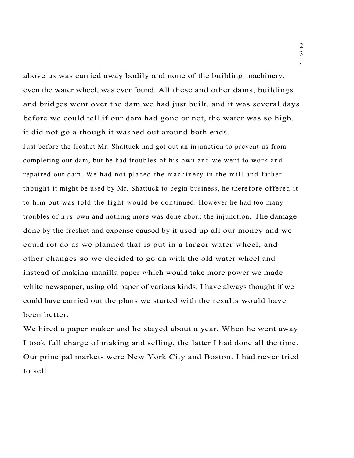above us was carried away bodily and none of the building machinery, even the water wheel, was ever found. All these and other dams, buildings and bridges went over the dam we had just built, and it was several days before we could tell if our dam had gone or not, the water was so high. it did not go although it washed out around both ends.

Just before the freshet Mr. Shattuck had got out an in junction to prevent us from completing our dam, but be had troubles of his own and we went to work and repaired our dam. We had not placed the machinery in the mill and father thought it might be used by Mr. Shattuck to begin business, he there fore offered it to him but was told the fight would be continued. However he had too many troubles of h is own and nothing more was done about the injunction. The damage done by the freshet and expense caused by it used up all our money and we could rot do as we planned that is put in a larger water wheel, and other changes so we decided to go on with the old water wheel and instead of making manilla paper which would take more power we made white newspaper, using old paper of various kinds. I have always thought if we could have carried out the plans we started with the results would have been better.

We hired a paper maker and he stayed about a year. When he went away I took full charge of making and selling, the latter I had done all the time. Our principal markets were New York City and Boston. I had never tried to sell

2 3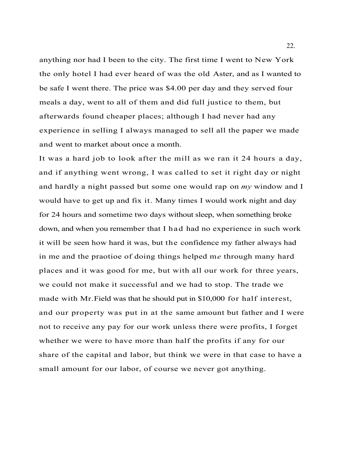anything nor had I been to the city. The first time I went to New York the only hotel I had ever heard of was the old Aster, and as I wanted to be safe I went there. The price was \$4.00 per day and they served four meals a day, went to all of them and did full justice to them, but afterwards found cheaper places; although I had never had any experience in selling I always managed to sell all the paper we made and went to market about once a month.

It was a hard job to look after the mill as we ran it 24 hours a day, and if anything went wrong, I was called to set it right day or night and hardly a night passed but some one would rap on *my* window and I would have to get up and fix it. Many times I would work night and day for 24 hours and sometime two days without sleep, when something broke down, and when you remember that I had had no experience in such work it will be seen how hard it was, but the confidence my father always had in me and the praotioe of doing things helped m*e* through many hard places and it was good for me, but with all our work for three years, we could not make it successful and we had to stop. The trade we made with Mr.Field was that he should put in \$10,000 for half interest, and our property was put in at the same amount but father and I were not to receive any pay for our work unless there were profits, I forget whether we were to have more than half the profits if any for our share of the capital and labor, but think we were in that case to have a small amount for our labor, of course we never got anything.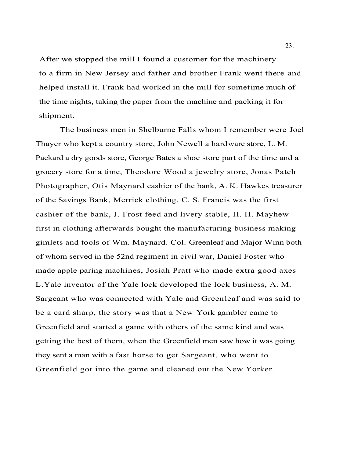After we stopped the mill I found a customer for the machinery to a firm in New Jersey and father and brother Frank went there and helped install it. Frank had worked in the mill for sometime much of the time nights, taking the paper from the machine and packing it for shipment.

The business men in Shelburne Falls whom I remember were Joel Thayer who kept a country store, John Newell a hardware store, L. M. Packard a dry goods store, George Bates a shoe store part of the time and a grocery store for a time, Theodore Wood a jewelry store, Jonas Patch Photographer, Otis Maynard cashier of the bank, A. K. Hawkes treasurer of the Savings Bank, Merrick clothing, C. S. Francis was the first cashier of the bank, J. Frost feed and livery stable, H. H. Mayhew first in clothing afterwards bought the manufacturing business making gimlets and tools of Wm. Maynard. Col. Greenleaf and Major Winn both of whom served in the 52nd regiment in civil war, Daniel Foster who made apple paring machines, Josiah Pratt who made extra good axes L.Yale inventor of the Yale lock developed the lock business, A. M. Sargeant who was connected with Yale and Greenleaf and was said to be a card sharp, the story was that a New York gambler came to Greenfield and started a game with others of the same kind and was getting the best of them, when the Greenfield men saw how it was going they sent a man with a fast horse to get Sargeant, who went to Greenfield got into the game and cleaned out the New Yorker.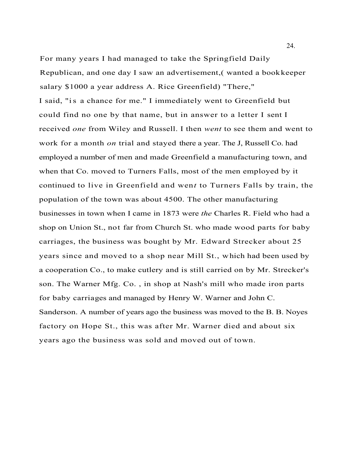For many years I had managed to take the Springfield Daily Republican, and one day I saw an advertisement,( wanted a bookkeeper salary \$1000 a year address A. Rice Greenfield) "There," I said, "is a chance for me." I immediately went to Greenfield but could find no one by that name, but in answer to a letter I sent I received *one* from Wiley and Russell. I then *went* to see them and went to work for a month *on* trial and stayed there a year. The J, Russell Co. had employed a number of men and made Greenfield a manufacturing town, and when that Co. moved to Turners Falls, most of the men employed by it continued to live in Greenfield and wen*t* to Turners Falls by train, the population of the town was about 4500. The other manufacturing businesses in town when I came in 1873 were *the* Charles R. Field who had a shop on Union St., not far from Church St. who made wood parts for baby carriages, the business was bought by Mr. Edward Strecker about 25 years since and moved to a shop near Mill St., which had been used by a cooperation Co., to make cutlery and is still carried on by Mr. Strecker's son. The Warner Mfg. Co. , in shop at Nash's mill who made iron parts for baby carriages and managed by Henry W. Warner and John C. Sanderson. A number of years ago the business was moved to the B. B. Noyes factory on Hope St., this was after Mr. Warner died and about six years ago the business was sold and moved out of town.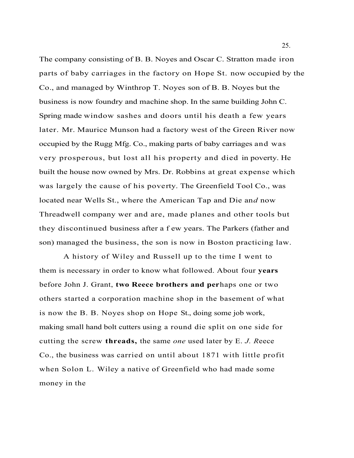The company consisting of B. B. Noyes and Oscar C. Stratton made iron parts of baby carriages in the factory on Hope St. now occupied by the Co., and managed by Winthrop T. Noyes son of B. B. Noyes but the business is now foundry and machine shop. In the same building John C. Spring made window sashes and doors until his death a few years later. Mr. Maurice Munson had a factory west of the Green River now occupied by the Rugg Mfg. Co., making parts of baby carriages and was very prosperous, but lost all his property and died in poverty. He built the house now owned by Mrs. Dr. Robbins at great expense which was largely the cause of his poverty. The Greenfield Tool Co., was located near Wells St., where the American Tap and Die an*d* now Threadwell company wer and are, made planes and other tools but they discontinued business after a f ew years. The Parkers (father and son) managed the business, the son is now in Boston practicing law.

A history of Wiley and Russell up to the time I went to them is necessary in order to know what followed. About four **years**  before John J. Grant, **two Reece brothers and per**haps one or two others started a corporation machine shop in the basement of what is now the B. B. Noyes shop on Hope St., doing some job work, making small hand bolt cutters using a round die split on one side for cutting the screw **threads,** the same *one* used later by E. *J. R*eece Co., the business was carried on until about 1871 with little profit when Solon L. Wiley a native of Greenfield who had made some money in the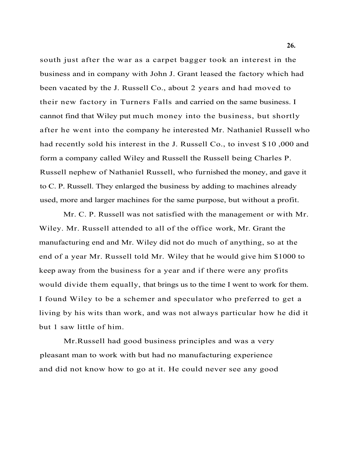south just after the war as a carpet bagger took an interest in the business and in company with John J. Grant leased the factory which had been vacated by the J. Russell Co., about 2 years and had moved to their new factory in Turners Falls and carried on the same business. I cannot find that Wiley put much money into the business, but shortly after he went into the company he interested Mr. Nathaniel Russell who had recently sold his interest in the J. Russell Co., to invest \$10,000 and form a company called Wiley and Russell the Russell being Charles P. Russell nephew of Nathaniel Russell, who furnished the money, and gave it to C. P. Russell. They enlarged the business by adding to machines already used, more and larger machines for the same purpose, but without a profit.

Mr. C. P. Russell was not satisfied with the management or with Mr. Wiley. Mr. Russell attended to all of the office work, Mr. Grant the manufacturing end and Mr. Wiley did not do much of anything, so at the end of a year Mr. Russell told Mr. Wiley that he would give him \$1000 to keep away from the business for a year and if there were any profits would divide them equally, that brings us to the time I went to work for them. I found Wiley to be a schemer and speculator who preferred to get a living by his wits than work, and was not always particular how he did it but 1 saw little of him.

Mr.Russell had good business principles and was a very pleasant man to work with but had no manufacturing experience and did not know how to go at it. He could never see any good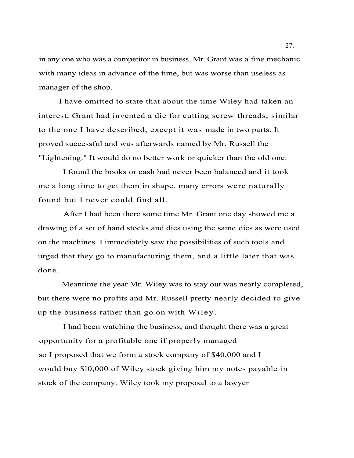in any one who was a competitor in business. Mr. Grant was a fine mechanic with many ideas in advance of the time, but was worse than useless as manager of the shop.

I have omitted to state that about the time Wiley had taken an interest, Grant had invented a die for cutting screw threads, similar to the one I have described, except it was made in two parts. It proved successful and was afterwards named by Mr. Russell the "Lightening." It would do no better work or quicker than the old one.

I found the books or cash had never been balanced and it took me a long time to get them in shape, many errors were naturally found but I never could find all.

After I had been there some time Mr. Grant one day showed me a drawing of a set of hand stocks and dies using the same dies as were used on the machines. I immediately saw the possibilities of such tools and urged that they go to manufacturing them, and a little later that was done.

Meantime the year Mr. Wiley was to stay out was nearly completed, but there were no profits and Mr. Russell pretty nearly decided to give up the business rather than go on with Wiley.

I had been watching the business, and thought there was a great opportunity for a profitable one if proper!y managed so I proposed that we form a stock company of \$40,000 and I would buy \$l0,000 of Wiley stock giving him my notes payable in stock of the company. Wiley took my proposal to a lawyer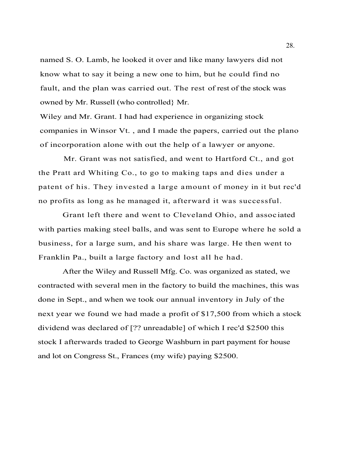named S. O. Lamb, he looked it over and like many lawyers did not know what to say it being a new one to him, but he could find no fault, and the plan was carried out. The rest of rest of the stock was owned by Mr. Russell (who controlled} Mr.

Wiley and Mr. Grant. I had had experience in organizing stock companies in Winsor Vt. , and I made the papers, carried out the plano of incorporation alone with out the help of a lawyer or anyone.

Mr. Grant was not satisfied, and went to Hartford Ct., and got the Pratt ard Whiting Co., to go to making taps and dies under a patent of his. They invested a large amount of money in it but rec'd no profits as long as he managed it, afterward it was successful.

Grant left there and went to Cleveland Ohio, and associated with parties making steel balls, and was sent to Europe where he sold a business, for a large sum, and his share was large. He then went to Franklin Pa., built a large factory and lost all he had.

After the Wiley and Russell Mfg. Co. was organized as stated, we contracted with several men in the factory to build the machines, this was done in Sept., and when we took our annual inventory in July of the next year we found we had made a profit of \$17,500 from which a stock dividend was declared of [?? unreadable] of which I rec'd \$2500 this stock I afterwards traded to George Washburn in part payment for house and lot on Congress St., Frances (my wife) paying \$2500.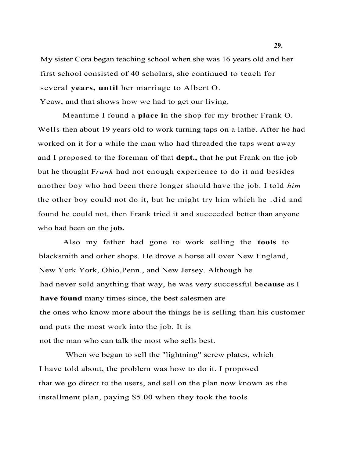My sister Cora began teaching school when she was 16 years old and her first school consisted of 40 scholars, she continued to teach for several **years, until** her marriage to Albert O. Yeaw, and that shows how we had to get our living.

Meantime I found a **place i**n the shop for my brother Frank O. Wells then about 19 years old to work turning taps on a lathe. After he had worked on it for a while the man who had threaded the taps went away and I proposed to the foreman of that **dept.,** that he put Frank on the job but he thought F*rank* had not enough experience to do it and besides another boy who had been there longer should have the job. I told *him*  the other boy could not do it, but he might try him which he .did and found he could not, then Frank tried it and succeeded better than anyone who had been on the j**ob.**

Also my father had gone to work selling the **tools** to blacksmith and other shops. He drove a horse all over New England, New York York, Ohio,Penn., and New Jersey. Although he had never sold anything that way, he was very successful be**cause** as I **have found** many times since, the best salesmen are the ones who know more about the things he is selling than his customer and puts the most work into the job. It is not the man who can talk the most who sells best.

When we began to sell the "lightning" screw plates, which I have told about, the problem was how to do it. I proposed that we go direct to the users, and sell on the plan now known as the installment plan, paying \$5.00 when they took the tools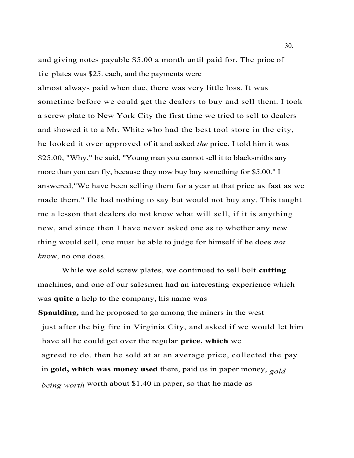and giving notes payable \$5.00 a month until paid for. The prioe of tie plates was \$25. each, and the payments were

almost always paid when due, there was very little loss. It was sometime before we could get the dealers to buy and sell them. I took a screw plate to New York City the first time we tried to sell to dealers and showed it to a Mr. White who had the best tool store in the city, he looked it over approved of it and asked *the* price. I told him it was \$25.00, "Why," he said, "Young man you cannot sell it to blacksmiths any more than you can fly, because they now buy buy something for \$5.00." I answered,"We have been selling them for a year at that price as fast as we made them." He had nothing to say but would not buy any. This taught me a lesson that dealers do not know what will sell, if it is anything new, and since then I have never asked one as to whether any new thing would sell, one must be able to judge for himself if he does *not kn*ow, no one does.

While we sold screw plates, we continued to sell bolt **cutting**  machines, and one of our salesmen had an interesting experience which was **quite** a help to the company, his name was **Spaulding,** and he proposed to go among the miners in the west just after the big fire in Virginia City, and asked if we would let him have all he could get over the regular **price, which** we agreed to do, then he sold at at an average price, collected the pay in **gold, which was money used** there, paid us in paper money, *gold being worth* worth about \$1.40 in paper, so that he made as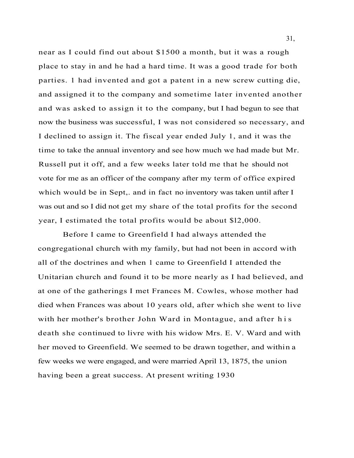near as I could find out about \$1500 a month, but it was a rough place to stay in and he had a hard time. It was a good trade for both parties. 1 had invented and got a patent in a new screw cutting die, and assigned it to the company and sometime later invented another and was asked to assign it to the company, but I had begun to see that now the business was successful, I was not considered so necessary, and I declined to assign it. The fiscal year ended July 1, and it was the time to take the annual inventory and see how much we had made but Mr. Russell put it off, and a few weeks later told me that he should not vote for me as an officer of the company after my term of office expired which would be in Sept,. and in fact no inventory was taken until after I was out and so I did not get my share of the total profits for the second year, I estimated the total profits would be about \$l2,000.

Before I came to Greenfield I had always attended the congregational church with my family, but had not been in accord with all of the doctrines and when 1 came to Greenfield I attended the Unitarian church and found it to be more nearly as I had believed, and at one of the gatherings I met Frances M. Cowles, whose mother had died when Frances was about 10 years old, after which she went to live with her mother's brother John Ward in Montague, and after his death she continued to livre with his widow Mrs. E. V. Ward and with her moved to Greenfield. We seemed to be drawn together, and within a few weeks we were engaged, and were married April 13, 1875, the union having been a great success. At present writing 1930

31,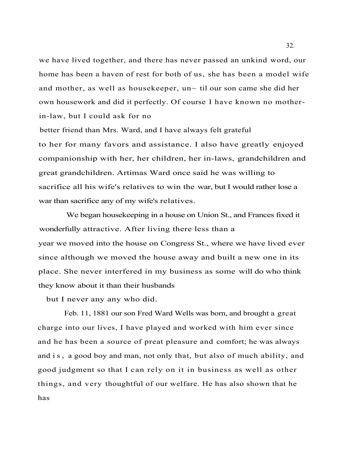we have lived together, and there has never passed an unkind word, our home has been a haven of rest for both of us, she has been a model wife and mother, as well as housekeeper, un~ til our son came she did her own housework and did it perfectly. Of course I have known no motherin-law, but I could ask for no

better friend than Mrs. Ward, and I have always felt grateful to her for many favors and assistance. I also have greatly enjoyed companionship with her, her children, her in-laws, grandchildren and great grandchildren. Artimas Ward once said he was willing to sacrifice all his wife's relatives to win the war, but I would rather lose a war than sacrifice any of my wife's relatives.

We began housekeeping in a house on Union St., and Frances fixed it wonderfully attractive. After living there less than a year we moved into the house on Congress St., where we have lived ever since although we moved the house away and built a new one in its place. She never interfered in my business as some will do who think they know about it than their husbands

but I never any any who did.

Feb. 11, 1881 our son Fred Ward Wells was born, and brought a great charge into our lives, I have played and worked with him ever since and he has been a source of preat pleasure and comfort; he was always and is, a good boy and man, not only that, but also of much ability, and good judgment so that I can rely on it in business as well as other things, and very thoughtful of our welfare. He has also shown that he has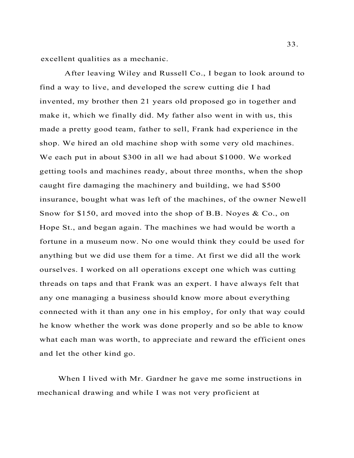excellent qualities as a mechanic.

After leaving Wiley and Russell Co., I began to look around to find a way to live, and developed the screw cutting die I had invented, my brother then 21 years old proposed go in together and make it, which we finally did. My father also went in with us, this made a pretty good team, father to sell, Frank had experience in the shop. We hired an old machine shop with some very old machines. We each put in about \$300 in all we had about \$1000. We worked getting tools and machines ready, about three months, when the shop caught fire damaging the machinery and building, we had \$500 insurance, bought what was left of the machines, of the owner Newell Snow for \$150, ard moved into the shop of B.B. Noyes & Co., on Hope St., and began again. The machines we had would be worth a fortune in a museum now. No one would think they could be used for anything but we did use them for a time. At first we did all the work ourselves. I worked on all operations except one which was cutting threads on taps and that Frank was an expert. I have always felt that any one managing a business should know more about everything connected with it than any one in his employ, for only that way could he know whether the work was done properly and so be able to know what each man was worth, to appreciate and reward the efficient ones and let the other kind go.

When I lived with Mr. Gardner he gave me some instructions in mechanical drawing and while I was not very proficient at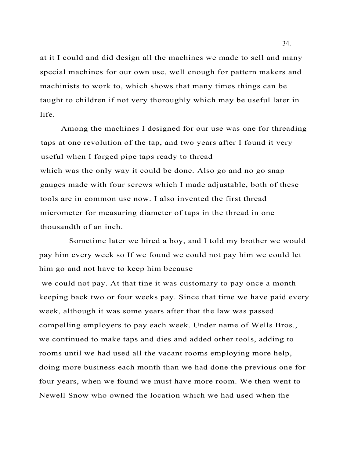at it I could and did design all the machines we made to sell and many special machines for our own use, well enough for pattern makers and machinists to work to, which shows that many times things can be taught to children if not very thoroughly which may be useful later in life.

Among the machines I designed for our use was one for threading taps at one revolution of the tap, and two years after I found it very useful when I forged pipe taps ready to thread which was the only way it could be done. Also go and no go snap gauges made with four screws which I made adjustable, both of these tools are in common use now. I also invented the first thread micrometer for measuring diameter of taps in the thread in one thousandth of an inch.

Sometime later we hired a boy, and I told my brother we would pay him every week so If we found we could not pay him we could let him go and not have to keep him because

we could not pay. At that tine it was customary to pay once a month keeping back two or four weeks pay. Since that time we have paid every week, although it was some years after that the law was passed compelling employers to pay each week. Under name of Wells Bros., we continued to make taps and dies and added other tools, adding to rooms until we had used all the vacant rooms employing more help, doing more business each month than we had done the previous one for four years, when we found we must have more room. We then went to Newell Snow who owned the location which we had used when the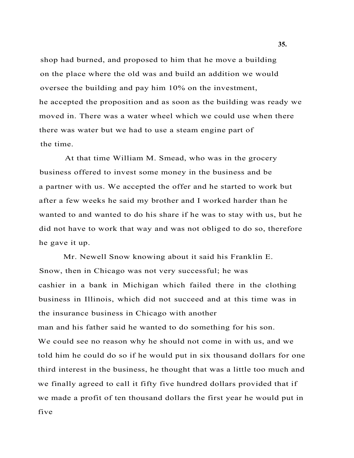shop had burned, and proposed to him that he move a building on the place where the old was and build an addition we would oversee the building and pay him 10% on the investment, he accepted the proposition and as soon as the building was ready we moved in. There was a water wheel which we could use when there there was water but we had to use a steam engine part of the time.

At that time William M. Smead, who was in the grocery business offered to invest some money in the business and be a partner with us. We accepted the offer and he started to work but after a few weeks he said my brother and I worked harder than he wanted to and wanted to do his share if he was to stay with us, but he did not have to work that way and was not obliged to do so, therefore he gave it up.

Mr. Newell Snow knowing about it said his Franklin E. Snow, then in Chicago was not very successful; he was cashier in a bank in Michigan which failed there in the clothing business in Illinois, which did not succeed and at this time was in the insurance business in Chicago with another man and his father said he wanted to do something for his son. We could see no reason why he should not come in with us, and we told him he could do so if he would put in six thousand dollars for one third interest in the business, he thought that was a little too much and we finally agreed to call it fifty five hundred dollars provided that if we made a profit of ten thousand dollars the first year he would put in five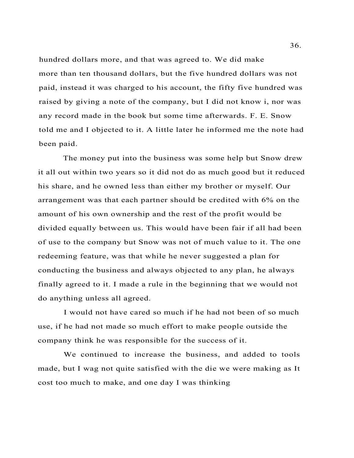hundred dollars more, and that was agreed to. We did make more than ten thousand dollars, but the five hundred dollars was not paid, instead it was charged to his account, the fifty five hundred was raised by giving a note of the company, but I did not know i, nor was any record made in the book but some time afterwards. F. E. Snow told me and I objected to it. A little later he informed me the note had been paid.

The money put into the business was some help but Snow drew it all out within two years so it did not do as much good but it reduced his share, and he owned less than either my brother or myself. Our arrangement was that each partner should be credited with 6% on the amount of his own ownership and the rest of the profit would be divided equally between us. This would have been fair if all had been of use to the company but Snow was not of much value to it. The one redeeming feature, was that while he never suggested a plan for conducting the business and always objected to any plan, he always finally agreed to it. I made a rule in the beginning that we would not do anything unless all agreed.

I would not have cared so much if he had not been of so much use, if he had not made so much effort to make people outside the company think he was responsible for the success of it.

We continued to increase the business, and added to tools made, but I wag not quite satisfied with the die we were making as It cost too much to make, and one day I was thinking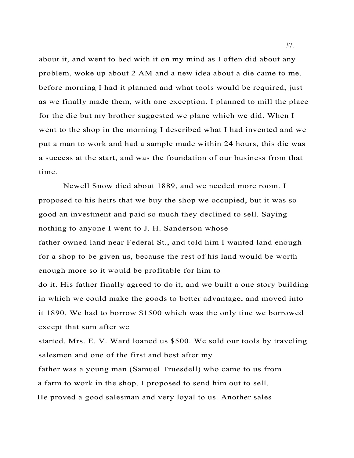about it, and went to bed with it on my mind as I often did about any problem, woke up about 2 AM and a new idea about a die came to me, before morning I had it planned and what tools would be required, just as we finally made them, with one exception. I planned to mill the place for the die but my brother suggested we plane which we did. When I went to the shop in the morning I described what I had invented and we put a man to work and had a sample made within 24 hours, this die was a success at the start, and was the foundation of our business from that time.

Newell Snow died about 1889, and we needed more room. I proposed to his heirs that we buy the shop we occupied, but it was so good an investment and paid so much they declined to sell. Saying nothing to anyone I went to J. H. Sanderson whose father owned land near Federal St., and told him I wanted land enough for a shop to be given us, because the rest of his land would be worth enough more so it would be profitable for him to

do it. His father finally agreed to do it, and we built a one story building in which we could make the goods to better advantage, and moved into it 1890. We had to borrow \$1500 which was the only tine we borrowed except that sum after we

started. Mrs. E. V. Ward loaned us \$500. We sold our tools by traveling salesmen and one of the first and best after my

father was a young man (Samuel Truesdell) who came to us from a farm to work in the shop. I proposed to send him out to sell. He proved a good salesman and very loyal to us. Another sales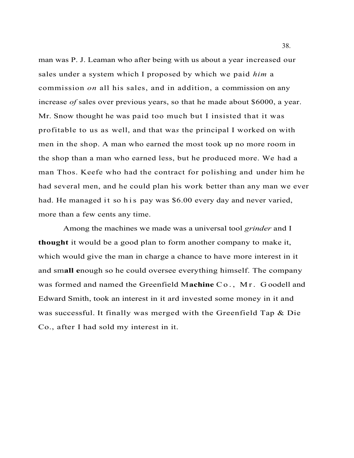man was P. J. Leaman who after being with us about a year increased our sales under a system which I proposed by which we paid *him* a commission *on* all his sales, and in addition, a commission on any increase *of* sales over previous years, so that he made about \$6000, a year. Mr. Snow thought he was paid too much but I insisted that it was profitable to us as well, and that wa*s* the principal I worked on with men in the shop. A man who earned the most took up no more room in the shop than a man who earned less, but he produced more. We had a man Thos. Keefe who had the contract for polishing and under him he had several men, and he could plan his work better than any man we ever had. He managed it so h is pay was \$6.00 every day and never varied, more than a few cents any time.

Among the machines we made was a universal tool *grinder* and I **thought** it would be a good plan to form another company to make it, which would give the man in charge a chance to have more interest in it and sm**all e**nough so he could oversee everything himself. The company was formed and named the Greenfield M**achine** C o . , M r . G oodell and Edward Smith, took an interest in it ard invested some money in it and was successful. It finally was merged with the Greenfield Tap & Die Co., after I had sold my interest in it.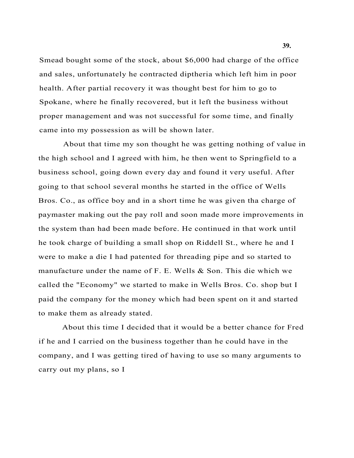Smead bought some of the stock, about \$6,000 had charge of the office and sales, unfortunately he contracted diptheria which left him in poor health. After partial recovery it was thought best for him to go to Spokane, where he finally recovered, but it left the business without proper management and was not successful for some time, and finally came into my possession as will be shown later.

About that time my son thought he was getting nothing of value in the high school and I agreed with him, he then went to Springfield to a business school, going down every day and found it very useful. After going to that school several months he started in the office of Wells Bros. Co., as office boy and in a short time he was given tha charge of paymaster making out the pay roll and soon made more improvements in the system than had been made before. He continued in that work until he took charge of building a small shop on Riddell St., where he and I were to make a die I had patented for threading pipe and so started to manufacture under the name of F. E. Wells & Son. This die which we called the "Economy" we started to make in Wells Bros. Co. shop but I paid the company for the money which had been spent on it and started to make them as already stated.

About this time I decided that it would be a better chance for Fred if he and I carried on the business together than he could have in the company, and I was getting tired of having to use so many arguments to carry out my plans, so I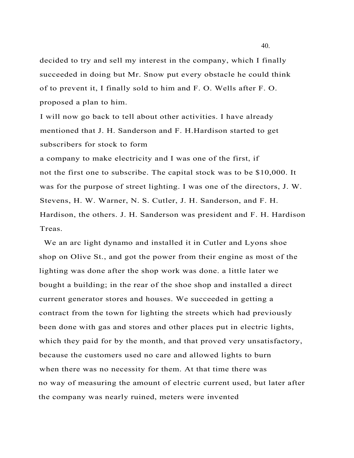decided to try and sell my interest in the company, which I finally succeeded in doing but Mr. Snow put every obstacle he could think of to prevent it, I finally sold to him and F. O. Wells after F. O. proposed a plan to him.

I will now go back to tell about other activities. I have already mentioned that J. H. Sanderson and F. H.Hardison started to get subscribers for stock to form

a company to make electricity and I was one of the first, if not the first one to subscribe. The capital stock was to be \$10,000. It was for the purpose of street lighting. I was one of the directors, J. W. Stevens, H. W. Warner, N. S. Cutler, J. H. Sanderson, and F. H. Hardison, the others. J. H. Sanderson was president and F. H. Hardison Treas.

We an arc light dynamo and installed it in Cutler and Lyons shoe shop on Olive St., and got the power from their engine as most of the lighting was done after the shop work was done. a little later we bought a building; in the rear of the shoe shop and installed a direct current generator stores and houses. We succeeded in getting a contract from the town for lighting the streets which had previously been done with gas and stores and other places put in electric lights, which they paid for by the month, and that proved very unsatisfactory, because the customers used no care and allowed lights to burn when there was no necessity for them. At that time there was no way of measuring the amount of electric current used, but later after the company was nearly ruined, meters were invented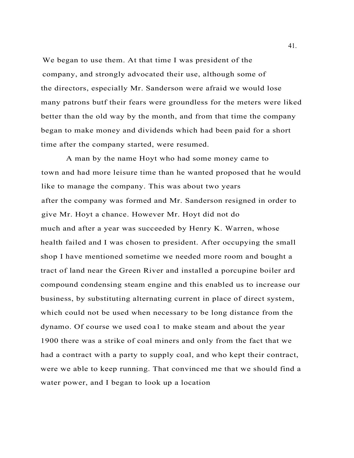We began to use them. At that time I was president of the company, and strongly advocated their use, although some of the directors, especially Mr. Sanderson were afraid we would lose many patrons butf their fears were groundless for the meters were liked better than the old way by the month, and from that time the company began to make money and dividends which had been paid for a short time after the company started, were resumed.

A man by the name Hoyt who had some money came to town and had more leisure time than he wanted proposed that he would like to manage the company. This was about two years after the company was formed and Mr. Sanderson resigned in order to give Mr. Hoyt a chance. However Mr. Hoyt did not do much and after a year was succeeded by Henry K. Warren, whose health failed and I was chosen to president. After occupying the small shop I have mentioned sometime we needed more room and bought a tract of land near the Green River and installed a porcupine boiler ard compound condensing steam engine and this enabled us to increase our business, by substituting alternating current in place of direct system, which could not be used when necessary to be long distance from the dynamo. Of course we used coa1 to make steam and about the year 1900 there was a strike of coal miners and only from the fact that we had a contract with a party to supply coal, and who kept their contract, were we able to keep running. That convinced me that we should find a water power, and I began to look up a location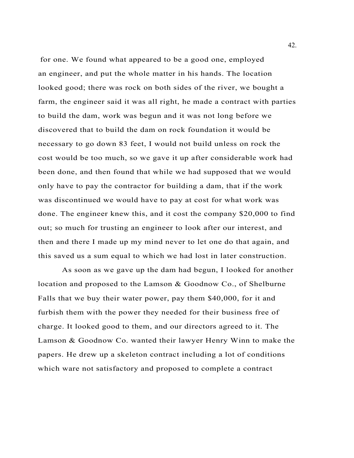for one. We found what appeared to be a good one, employed an engineer, and put the whole matter in his hands. The location looked good; there was rock on both sides of the river, we bought a farm, the engineer said it was all right, he made a contract with parties to build the dam, work was begun and it was not long before we discovered that to build the dam on rock foundation it would be necessary to go down 83 feet, I would not build unless on rock the cost would be too much, so we gave it up after considerable work had been done, and then found that while we had supposed that we would only have to pay the contractor for building a dam, that if the work was discontinued we would have to pay at cost for what work was done. The engineer knew this, and it cost the company \$20,000 to find out; so much for trusting an engineer to look after our interest, and then and there I made up my mind never to let one do that again, and this saved us a sum equal to which we had lost in later construction.

As soon as we gave up the dam had begun, I looked for another location and proposed to the Lamson & Goodnow Co., of Shelburne Falls that we buy their water power, pay them \$40,000, for it and furbish them with the power they needed for their business free of charge. It looked good to them, and our directors agreed to it. The Lamson & Goodnow Co. wanted their lawyer Henry Winn to make the papers. He drew up a skeleton contract including a lot of conditions which ware not satisfactory and proposed to complete a contract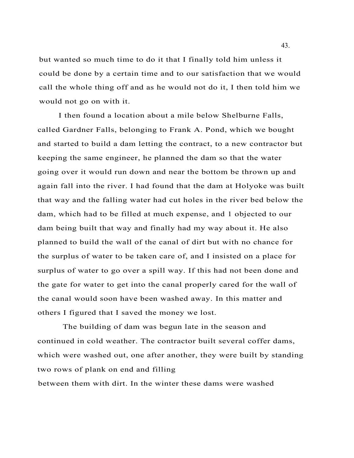but wanted so much time to do it that I finally told him unless it could be done by a certain time and to our satisfaction that we would call the whole thing off and as he would not do it, I then told him we would not go on with it.

I then found a location about a mile below Shelburne Falls, called Gardner Falls, belonging to Frank A. Pond, which we bought and started to build a dam letting the contract, to a new contractor but keeping the same engineer, he planned the dam so that the water going over it would run down and near the bottom be thrown up and again fall into the river. I had found that the dam at Holyoke was built that way and the falling water had cut holes in the river bed below the dam, which had to be filled at much expense, and 1 objected to our dam being built that way and finally had my way about it. He also planned to build the wall of the canal of dirt but with no chance for the surplus of water to be taken care of, and I insisted on a place for surplus of water to go over a spill way. If this had not been done and the gate for water to get into the canal properly cared for the wall of the canal would soon have been washed away. In this matter and others I figured that I saved the money we lost.

The building of dam was begun late in the season and continued in cold weather. The contractor built several coffer dams, which were washed out, one after another, they were built by standing two rows of plank on end and filling between them with dirt. In the winter these dams were washed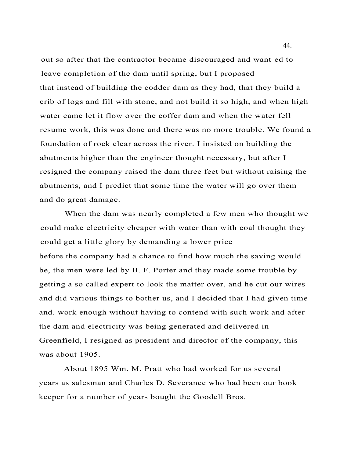out so after that the contractor became discouraged and want ed to leave completion of the dam until spring, but I proposed that instead of building the codder dam as they had, that they build a crib of logs and fill with stone, and not build it so high, and when high water came let it flow over the coffer dam and when the water fell resume work, this was done and there was no more trouble. We found a foundation of rock clear across the river. I insisted on building the abutments higher than the engineer thought necessary, but after I resigned the company raised the dam three feet but without raising the abutments, and I predict that some time the water will go over them and do great damage.

When the dam was nearly completed a few men who thought we could make electricity cheaper with water than with coal thought they could get a little glory by demanding a lower price before the company had a chance to find how much the saving would be, the men were led by B. F. Porter and they made some trouble by getting a so called expert to look the matter over, and he cut our wires and did various things to bother us, and I decided that I had given time and. work enough without having to contend with such work and after the dam and electricity was being generated and delivered in Greenfield, I resigned as president and director of the company, this was about 1905.

About 1895 Wm. M. Pratt who had worked for us several years as salesman and Charles D. Severance who had been our book keeper for a number of years bought the Goodell Bros.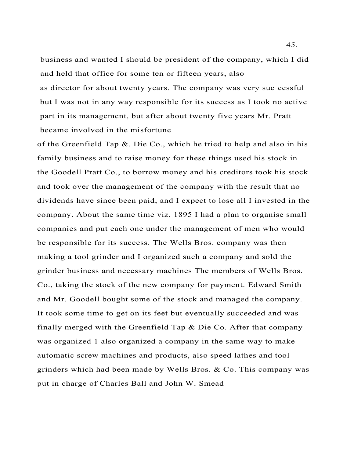business and wanted I should be president of the company, which I did and held that office for some ten or fifteen years, also

as director for about twenty years. The company was very suc cessful but I was not in any way responsible for its success as I took no active part in its management, but after about twenty five years Mr. Pratt became involved in the misfortune

of the Greenfield Tap  $\&$ . Die Co., which he tried to help and also in his family business and to raise money for these things used his stock in the Goodell Pratt Co., to borrow money and his creditors took his stock and took over the management of the company with the result that no dividends have since been paid, and I expect to lose all I invested in the company. About the same time viz. 1895 I had a plan to organise small companies and put each one under the management of men who would be responsible for its success. The Wells Bros. company was then making a tool grinder and I organized such a company and sold the grinder business and necessary machines The members of Wells Bros. Co., taking the stock of the new company for payment. Edward Smith and Mr. Goodell bought some of the stock and managed the company. It took some time to get on its feet but eventually succeeded and was finally merged with the Greenfield Tap  $\&$  Die Co. After that company was organized 1 also organized a company in the same way to make automatic screw machines and products, also speed lathes and tool grinders which had been made by Wells Bros. & Co. This company was put in charge of Charles Ball and John W. Smead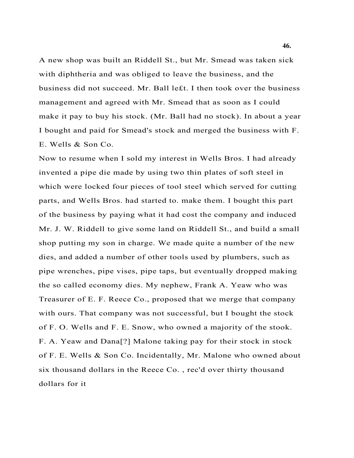A new shop was built an Riddell St., but Mr. Smead was taken sick with diphtheria and was obliged to leave the business, and the business did not succeed. Mr. Ball le£t. I then took over the business management and agreed with Mr. Smead that as soon as I could make it pay to buy his stock. (Mr. Ball had no stock). In about a year I bought and paid for Smead's stock and merged the business with F. E. Wells & Son Co.

Now to resume when I sold my interest in Wells Bros. I had already invented a pipe die made by using two thin plates of soft steel in which were locked four pieces of tool steel which served for cutting parts, and Wells Bros. had started to. make them. I bought this part of the business by paying what it had cost the company and induced Mr. J. W. Riddell to give some land on Riddell St., and build a small shop putting my son in charge. We made quite a number of the new dies, and added a number of other tools used by plumbers, such as pipe wrenches, pipe vises, pipe taps, but eventually dropped making the so called economy dies. My nephew, Frank A. Yeaw who was Treasurer of E. F. Reece Co., proposed that we merge that company with ours. That company was not successful, but I bought the stock of F. O. Wells and F. E. Snow, who owned a majority of the stook. F. A. Yeaw and Dana[?] Malone taking pay for their stock in stock of F. E. Wells & Son Co. Incidentally, Mr. Malone who owned about six thousand dollars in the Reece Co. , rec'd over thirty thousand dollars for it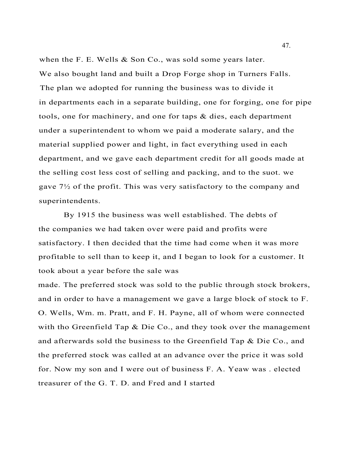when the F. E. Wells & Son Co., was sold some years later. We also bought land and built a Drop Forge shop in Turners Falls. The plan we adopted for running the business was to divide it in departments each in a separate building, one for forging, one for pipe tools, one for machinery, and one for taps & dies, each department under a superintendent to whom we paid a moderate salary, and the material supplied power and light, in fact everything used in each department, and we gave each department credit for all goods made at the selling cost less cost of selling and packing, and to the suot. we gave  $7\frac{1}{2}$  of the profit. This was very satisfactory to the company and superintendents.

By 1915 the business was well established. The debts of the companies we had taken over were paid and profits were satisfactory. I then decided that the time had come when it was more profitable to sell than to keep it, and I began to look for a customer. It took about a year before the sale was

made. The preferred stock was sold to the public through stock brokers, and in order to have a management we gave a large block of stock to F. O. Wells, Wm. m. Pratt, and F. H. Payne, all of whom were connected with tho Greenfield Tap & Die Co., and they took over the management and afterwards sold the business to the Greenfield Tap & Die Co., and the preferred stock was called at an advance over the price it was sold for. Now my son and I were out of business F. A. Yeaw was . elected treasurer of the G. T. D. and Fred and I started